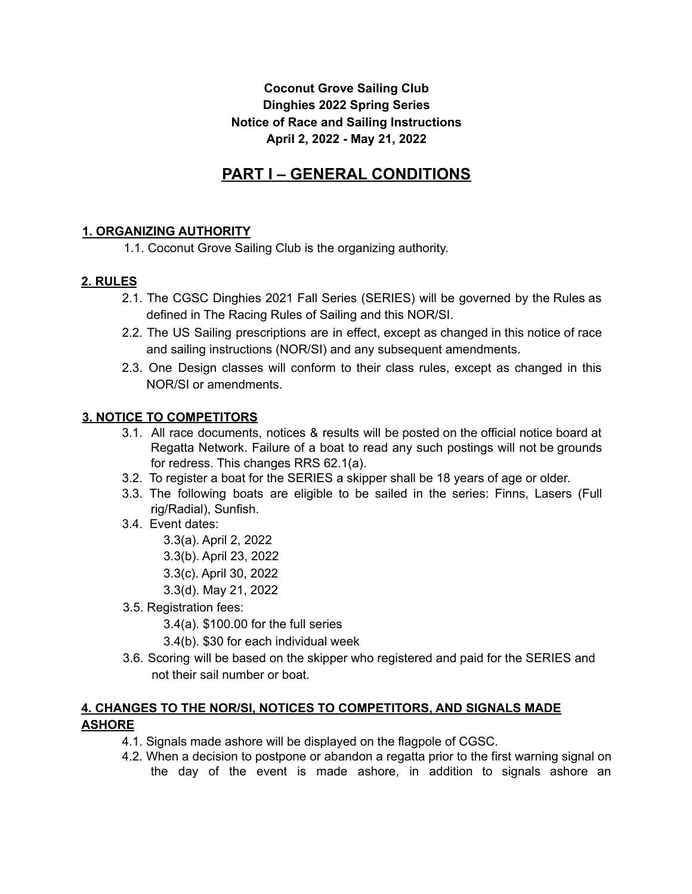## **Coconut Grove Sailing Club Dinghies 2022 Spring Series Notice of Race and Sailing Instructions April 2, 2022 - May 21, 2022**

# **PART I – GENERAL CONDITIONS**

# **1. ORGANIZING AUTHORITY**

1.1. Coconut Grove Sailing Club is the organizing authority.

# **2. RULES**

- 2.1. The CGSC Dinghies 2021 Fall Series (SERIES) will be governed by the Rules as defined in The Racing Rules of Sailing and this NOR/SI.
- 2.2. The US Sailing prescriptions are in effect, except as changed in this notice of race and sailing instructions (NOR/SI) and any subsequent amendments.
- 2.3. One Design classes will conform to their class rules, except as changed in this NOR/SI or amendments.

## **3. NOTICE TO COMPETITORS**

- 3.1. All race documents, notices & results will be posted on the official notice board at Regatta Network. Failure of a boat to read any such postings will not be grounds for redress. This changes RRS 62.1(a).
- 3.2. To register a boat for the SERIES a skipper shall be 18 years of age or older.
- 3.3. The following boats are eligible to be sailed in the series: Finns, Lasers (Full rig/Radial), Sunfish.
- 3.4. Event dates:
	- 3.3(a). April 2, 2022
	- 3.3(b). April 23, 2022
	- 3.3(c). April 30, 2022
	- 3.3(d). May 21, 2022
- 3.5. Registration fees:
	- 3.4(a). \$100.00 for the full series
	- 3.4(b). \$30 for each individual week
- 3.6. Scoring will be based on the skipper who registered and paid for the SERIES and not their sail number or boat.

# **4. CHANGES TO THE NOR/SI, NOTICES TO COMPETITORS, AND SIGNALS MADE ASHORE**

- 4.1. Signals made ashore will be displayed on the flagpole of CGSC.
- 4.2. When a decision to postpone or abandon a regatta prior to the first warning signal on the day of the event is made ashore, in addition to signals ashore an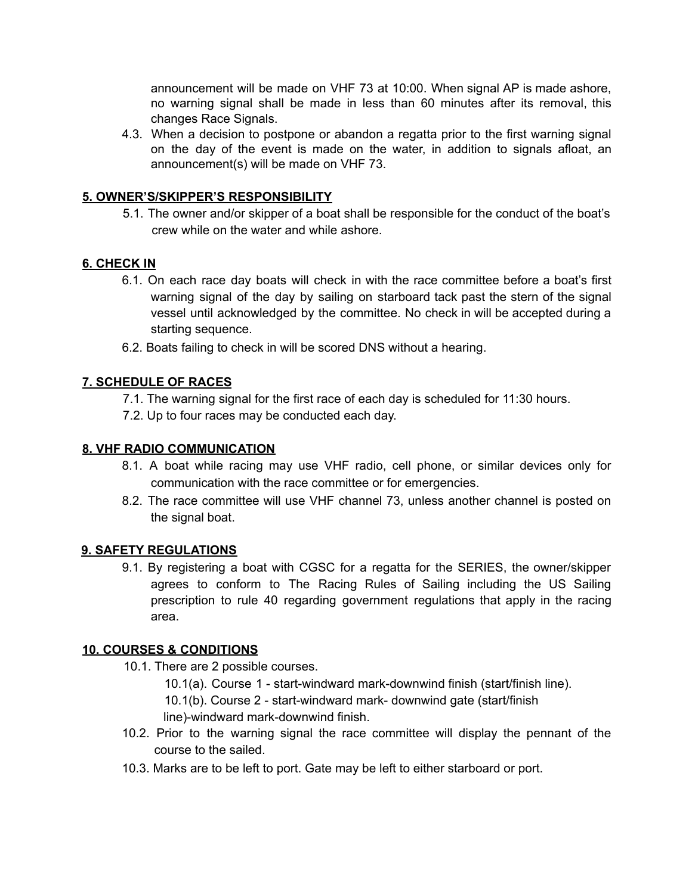announcement will be made on VHF 73 at 10:00. When signal AP is made ashore, no warning signal shall be made in less than 60 minutes after its removal, this changes Race Signals.

4.3. When a decision to postpone or abandon a regatta prior to the first warning signal on the day of the event is made on the water, in addition to signals afloat, an announcement(s) will be made on VHF 73.

## **5. OWNER'S/SKIPPER'S RESPONSIBILITY**

5.1. The owner and/or skipper of a boat shall be responsible for the conduct of the boat's crew while on the water and while ashore.

## **6. CHECK IN**

- 6.1. On each race day boats will check in with the race committee before a boat's first warning signal of the day by sailing on starboard tack past the stern of the signal vessel until acknowledged by the committee. No check in will be accepted during a starting sequence.
- 6.2. Boats failing to check in will be scored DNS without a hearing.

## **7. SCHEDULE OF RACES**

- 7.1. The warning signal for the first race of each day is scheduled for 11:30 hours.
- 7.2. Up to four races may be conducted each day.

### **8. VHF RADIO COMMUNICATION**

- 8.1. A boat while racing may use VHF radio, cell phone, or similar devices only for communication with the race committee or for emergencies.
- 8.2. The race committee will use VHF channel 73, unless another channel is posted on the signal boat.

### **9. SAFETY REGULATIONS**

9.1. By registering a boat with CGSC for a regatta for the SERIES, the owner/skipper agrees to conform to The Racing Rules of Sailing including the US Sailing prescription to rule 40 regarding government regulations that apply in the racing area.

### **10. COURSES & CONDITIONS**

- 10.1. There are 2 possible courses.
	- 10.1(a). Course 1 start-windward mark-downwind finish (start/finish line).
	- 10.1(b). Course 2 start-windward mark- downwind gate (start/finish
	- line)-windward mark-downwind finish.
- 10.2. Prior to the warning signal the race committee will display the pennant of the course to the sailed.
- 10.3. Marks are to be left to port. Gate may be left to either starboard or port.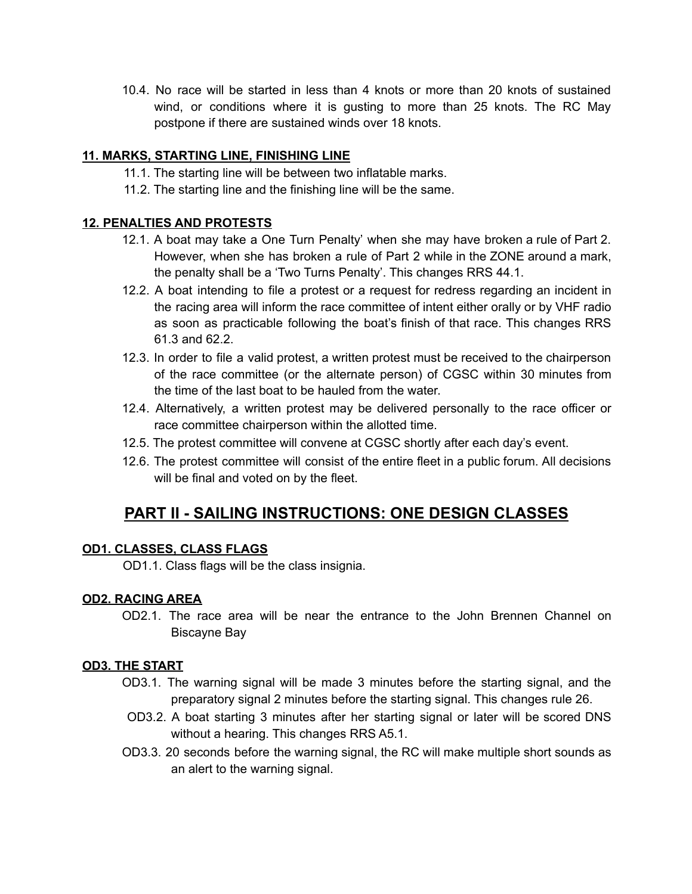10.4. No race will be started in less than 4 knots or more than 20 knots of sustained wind, or conditions where it is gusting to more than 25 knots. The RC May postpone if there are sustained winds over 18 knots.

## **11. MARKS, STARTING LINE, FINISHING LINE**

- 11.1. The starting line will be between two inflatable marks.
- 11.2. The starting line and the finishing line will be the same.

### **12. PENALTIES AND PROTESTS**

- 12.1. A boat may take a One Turn Penalty' when she may have broken a rule of Part 2. However, when she has broken a rule of Part 2 while in the ZONE around a mark, the penalty shall be a 'Two Turns Penalty'. This changes RRS 44.1.
- 12.2. A boat intending to file a protest or a request for redress regarding an incident in the racing area will inform the race committee of intent either orally or by VHF radio as soon as practicable following the boat's finish of that race. This changes RRS 61.3 and 62.2.
- 12.3. In order to file a valid protest, a written protest must be received to the chairperson of the race committee (or the alternate person) of CGSC within 30 minutes from the time of the last boat to be hauled from the water.
- 12.4. Alternatively, a written protest may be delivered personally to the race officer or race committee chairperson within the allotted time.
- 12.5. The protest committee will convene at CGSC shortly after each day's event.
- 12.6. The protest committee will consist of the entire fleet in a public forum. All decisions will be final and voted on by the fleet.

# **PART II - SAILING INSTRUCTIONS: ONE DESIGN CLASSES**

## **OD1. CLASSES, CLASS FLAGS**

OD1.1. Class flags will be the class insignia.

## **OD2. RACING AREA**

OD2.1. The race area will be near the entrance to the John Brennen Channel on Biscayne Bay

### **OD3. THE START**

- OD3.1. The warning signal will be made 3 minutes before the starting signal, and the preparatory signal 2 minutes before the starting signal. This changes rule 26.
- OD3.2. A boat starting 3 minutes after her starting signal or later will be scored DNS without a hearing. This changes RRS A5.1.
- OD3.3. 20 seconds before the warning signal, the RC will make multiple short sounds as an alert to the warning signal.